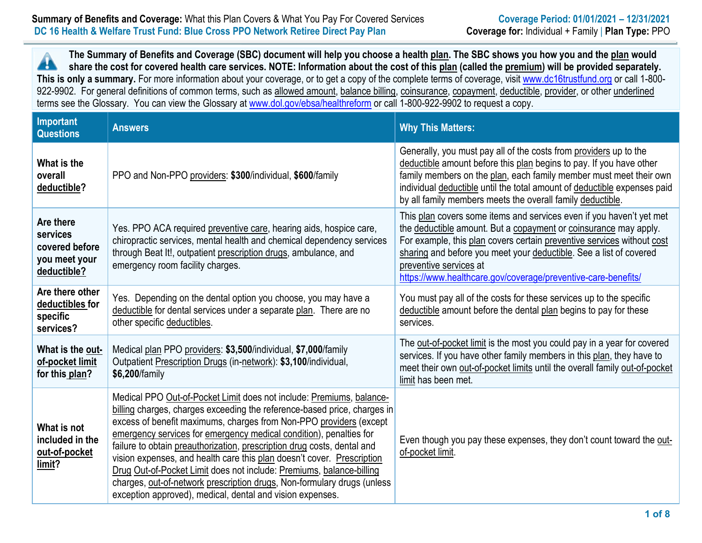# **Summary of Benefits and Coverage:** What this Plan Covers & What You Pay For Covered Services **Coverage Period: 01/01/2021** – 12/31/2021  **DC 16 Health & Welfare Trust Fund: Blue Cross PPO Network Retiree Direct Pay Plan Coverage for:** Individual + Family | **Plan Type:** PPO

**The Summary of Benefits and Coverage (SBC) document will help you choose a health plan. The SBC shows you how you and the plan would**  Â **share the cost for covered health care services. NOTE: Information about the cost of this plan (called the premium) will be provided separately.**  This is only a summary. For more information about your coverage, or to get a copy of the complete terms of coverage, visit www.dc16trustfund.org or call 1-800-922-9902. For general definitions of common terms, such as allowed amount, balance billing, coinsurance, copayment, deductible, provider, or other underlined terms see the Glossary. You can view the Glossary at www.dol.gov/ebsa/healthreform or call 1-800-922-9902 to request a copy.

| Important<br><b>Questions</b>                                           | <b>Answers</b>                                                                                                                                                                                                                                                                                                                                                                                                                                                                                                                                                                                                                                                    | <b>Why This Matters:</b>                                                                                                                                                                                                                                                                                                                                                            |
|-------------------------------------------------------------------------|-------------------------------------------------------------------------------------------------------------------------------------------------------------------------------------------------------------------------------------------------------------------------------------------------------------------------------------------------------------------------------------------------------------------------------------------------------------------------------------------------------------------------------------------------------------------------------------------------------------------------------------------------------------------|-------------------------------------------------------------------------------------------------------------------------------------------------------------------------------------------------------------------------------------------------------------------------------------------------------------------------------------------------------------------------------------|
| What is the<br>overall<br>deductible?                                   | PPO and Non-PPO providers: \$300/individual, \$600/family                                                                                                                                                                                                                                                                                                                                                                                                                                                                                                                                                                                                         | Generally, you must pay all of the costs from providers up to the<br>deductible amount before this plan begins to pay. If you have other<br>family members on the plan, each family member must meet their own<br>individual deductible until the total amount of deductible expenses paid<br>by all family members meets the overall family deductible.                            |
| Are there<br>services<br>covered before<br>you meet your<br>deductible? | Yes. PPO ACA required preventive care, hearing aids, hospice care,<br>chiropractic services, mental health and chemical dependency services<br>through Beat It!, outpatient prescription drugs, ambulance, and<br>emergency room facility charges.                                                                                                                                                                                                                                                                                                                                                                                                                | This plan covers some items and services even if you haven't yet met<br>the deductible amount. But a copayment or coinsurance may apply.<br>For example, this plan covers certain preventive services without cost<br>sharing and before you meet your deductible. See a list of covered<br>preventive services at<br>https://www.healthcare.gov/coverage/preventive-care-benefits/ |
| Are there other<br>deductibles for<br>specific<br>services?             | Yes. Depending on the dental option you choose, you may have a<br>deductible for dental services under a separate plan. There are no<br>other specific deductibles.                                                                                                                                                                                                                                                                                                                                                                                                                                                                                               | You must pay all of the costs for these services up to the specific<br>deductible amount before the dental plan begins to pay for these<br>services.                                                                                                                                                                                                                                |
| What is the out-<br>of-pocket limit<br>for this plan?                   | Medical plan PPO providers: \$3,500/individual, \$7,000/family<br>Outpatient Prescription Drugs (in-network): \$3,100/individual,<br>\$6,200/family                                                                                                                                                                                                                                                                                                                                                                                                                                                                                                               | The out-of-pocket limit is the most you could pay in a year for covered<br>services. If you have other family members in this plan, they have to<br>meet their own out-of-pocket limits until the overall family out-of-pocket<br>limit has been met.                                                                                                                               |
| What is not<br>included in the<br>out-of-pocket<br>limit?               | Medical PPO Out-of-Pocket Limit does not include: Premiums, balance-<br>billing charges, charges exceeding the reference-based price, charges in<br>excess of benefit maximums, charges from Non-PPO providers (except<br>emergency services for emergency medical condition), penalties for<br>failure to obtain preauthorization, prescription drug costs, dental and<br>vision expenses, and health care this plan doesn't cover. Prescription<br>Drug Out-of-Pocket Limit does not include: Premiums, balance-billing<br>charges, out-of-network prescription drugs, Non-formulary drugs (unless<br>exception approved), medical, dental and vision expenses. | Even though you pay these expenses, they don't count toward the out-<br>of-pocket limit.                                                                                                                                                                                                                                                                                            |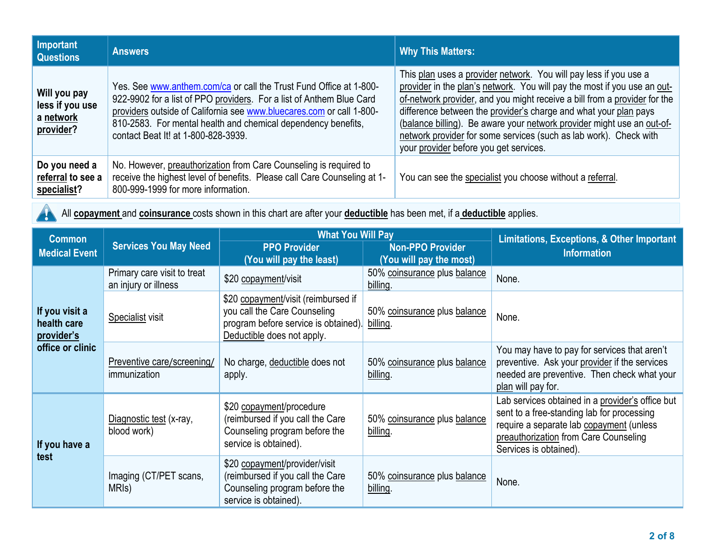| Important<br><b>Questions</b>                             | <b>Answers</b>                                                                                                                                                                                                                                                                                                             | <b>Why This Matters:</b>                                                                                                                                                                                                                                                                                                                                                                                                                                                                |
|-----------------------------------------------------------|----------------------------------------------------------------------------------------------------------------------------------------------------------------------------------------------------------------------------------------------------------------------------------------------------------------------------|-----------------------------------------------------------------------------------------------------------------------------------------------------------------------------------------------------------------------------------------------------------------------------------------------------------------------------------------------------------------------------------------------------------------------------------------------------------------------------------------|
| Will you pay<br>less if you use<br>a network<br>provider? | Yes. See www.anthem.com/ca or call the Trust Fund Office at 1-800-<br>922-9902 for a list of PPO providers. For a list of Anthem Blue Card<br>providers outside of California see www.bluecares.com or call 1-800-<br>810-2583. For mental health and chemical dependency benefits,<br>contact Beat It! at 1-800-828-3939. | This plan uses a provider network. You will pay less if you use a<br>provider in the plan's network. You will pay the most if you use an out-<br>of-network provider, and you might receive a bill from a provider for the<br>difference between the provider's charge and what your plan pays<br>(balance billing). Be aware your network provider might use an out-of-<br>network provider for some services (such as lab work). Check with<br>your provider before you get services. |
| Do you need a<br>referral to see a<br>specialist?         | No. However, preauthorization from Care Counseling is required to<br>receive the highest level of benefits. Please call Care Counseling at 1-<br>800-999-1999 for more information.                                                                                                                                        | You can see the specialist you choose without a referral.                                                                                                                                                                                                                                                                                                                                                                                                                               |

All **copayment** and **coinsurance** costs shown in this chart are after your **deductible** has been met, if a **deductible** applies.

| <b>Common</b>                               |                                                     | <b>What You Will Pay</b>                                                                                                                  |                                                    | <b>Limitations, Exceptions, &amp; Other Important</b>                                                                                                                                                         |  |
|---------------------------------------------|-----------------------------------------------------|-------------------------------------------------------------------------------------------------------------------------------------------|----------------------------------------------------|---------------------------------------------------------------------------------------------------------------------------------------------------------------------------------------------------------------|--|
| <b>Medical Event</b>                        | <b>Services You May Need</b>                        | <b>PPO Provider</b><br>(You will pay the least)                                                                                           | <b>Non-PPO Provider</b><br>(You will pay the most) | <b>Information</b>                                                                                                                                                                                            |  |
|                                             | Primary care visit to treat<br>an injury or illness | \$20 copayment/visit                                                                                                                      | 50% coinsurance plus balance<br>billing.           | None.                                                                                                                                                                                                         |  |
| If you visit a<br>health care<br>provider's | Specialist visit                                    | \$20 copayment/visit (reimbursed if<br>you call the Care Counseling<br>program before service is obtained).<br>Deductible does not apply. | 50% coinsurance plus balance<br>billing.           | None.                                                                                                                                                                                                         |  |
| office or clinic                            | Preventive care/screening/<br>immunization          | No charge, deductible does not<br>apply.                                                                                                  | 50% coinsurance plus balance<br>billing.           | You may have to pay for services that aren't<br>preventive. Ask your provider if the services<br>needed are preventive. Then check what your<br>plan will pay for.                                            |  |
| If you have a<br>test                       | Diagnostic test (x-ray,<br>blood work)              | \$20 copayment/procedure<br>(reimbursed if you call the Care<br>Counseling program before the<br>service is obtained).                    | 50% coinsurance plus balance<br>billing.           | Lab services obtained in a provider's office but<br>sent to a free-standing lab for processing<br>require a separate lab copayment (unless<br>preauthorization from Care Counseling<br>Services is obtained). |  |
|                                             | Imaging (CT/PET scans,<br>MRI <sub>s</sub> )        | \$20 copayment/provider/visit<br>(reimbursed if you call the Care<br>Counseling program before the<br>service is obtained).               | 50% coinsurance plus balance<br>billing.           | None.                                                                                                                                                                                                         |  |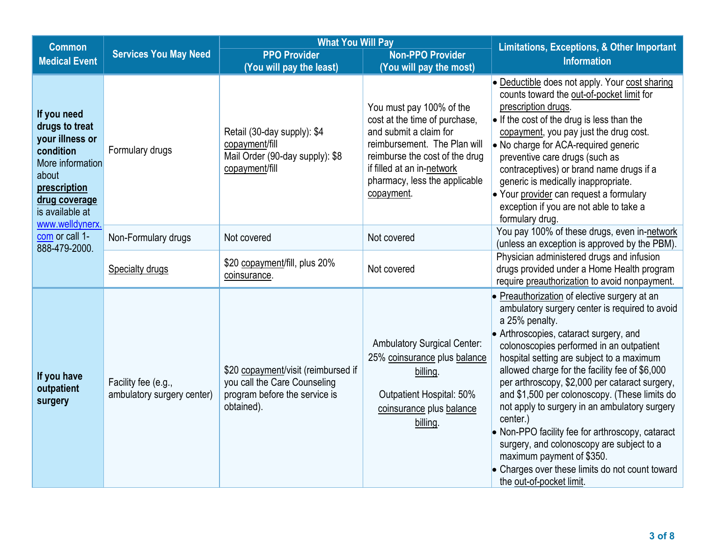| <b>Common</b>                                                                                                                                                     |                                                   | <b>What You Will Pay</b>                                                                                           |                                                                                                                                                                                                                                    | <b>Limitations, Exceptions, &amp; Other Important</b>                                                                                                                                                                                                                                                                                                                                                                                                                                                                                                                                                                                                                              |
|-------------------------------------------------------------------------------------------------------------------------------------------------------------------|---------------------------------------------------|--------------------------------------------------------------------------------------------------------------------|------------------------------------------------------------------------------------------------------------------------------------------------------------------------------------------------------------------------------------|------------------------------------------------------------------------------------------------------------------------------------------------------------------------------------------------------------------------------------------------------------------------------------------------------------------------------------------------------------------------------------------------------------------------------------------------------------------------------------------------------------------------------------------------------------------------------------------------------------------------------------------------------------------------------------|
| <b>Medical Event</b>                                                                                                                                              | <b>Services You May Need</b>                      | <b>PPO Provider</b>                                                                                                | <b>Non-PPO Provider</b>                                                                                                                                                                                                            | <b>Information</b>                                                                                                                                                                                                                                                                                                                                                                                                                                                                                                                                                                                                                                                                 |
|                                                                                                                                                                   |                                                   | (You will pay the least)                                                                                           | (You will pay the most)                                                                                                                                                                                                            |                                                                                                                                                                                                                                                                                                                                                                                                                                                                                                                                                                                                                                                                                    |
| If you need<br>drugs to treat<br>your illness or<br>condition<br>More information<br>about<br>prescription<br>drug coverage<br>is available at<br>www.welldynerx. | Formulary drugs                                   | Retail (30-day supply): \$4<br>copayment/fill<br>Mail Order (90-day supply): \$8<br>copayment/fill                 | You must pay 100% of the<br>cost at the time of purchase,<br>and submit a claim for<br>reimbursement. The Plan will<br>reimburse the cost of the drug<br>if filled at an in-network<br>pharmacy, less the applicable<br>copayment. | • Deductible does not apply. Your cost sharing<br>counts toward the out-of-pocket limit for<br>prescription drugs.<br>$\bullet$ If the cost of the drug is less than the<br>copayment, you pay just the drug cost.<br>• No charge for ACA-required generic<br>preventive care drugs (such as<br>contraceptives) or brand name drugs if a<br>generic is medically inappropriate.<br>• Your provider can request a formulary<br>exception if you are not able to take a<br>formulary drug.                                                                                                                                                                                           |
| com or call 1-<br>888-479-2000.                                                                                                                                   | Non-Formulary drugs                               | Not covered                                                                                                        | Not covered                                                                                                                                                                                                                        | You pay 100% of these drugs, even in-network<br>(unless an exception is approved by the PBM).                                                                                                                                                                                                                                                                                                                                                                                                                                                                                                                                                                                      |
|                                                                                                                                                                   | <b>Specialty drugs</b>                            | \$20 copayment/fill, plus 20%<br>coinsurance.                                                                      | Not covered                                                                                                                                                                                                                        | Physician administered drugs and infusion<br>drugs provided under a Home Health program<br>require preauthorization to avoid nonpayment.                                                                                                                                                                                                                                                                                                                                                                                                                                                                                                                                           |
| If you have<br>outpatient<br>surgery                                                                                                                              | Facility fee (e.g.,<br>ambulatory surgery center) | \$20 copayment/visit (reimbursed if<br>you call the Care Counseling<br>program before the service is<br>obtained). | <b>Ambulatory Surgical Center:</b><br>25% coinsurance plus balance<br>billing.<br>Outpatient Hospital: 50%<br>coinsurance plus balance<br>billing.                                                                                 | • Preauthorization of elective surgery at an<br>ambulatory surgery center is required to avoid<br>a 25% penalty.<br>• Arthroscopies, cataract surgery, and<br>colonoscopies performed in an outpatient<br>hospital setting are subject to a maximum<br>allowed charge for the facility fee of \$6,000<br>per arthroscopy, \$2,000 per cataract surgery,<br>and \$1,500 per colonoscopy. (These limits do<br>not apply to surgery in an ambulatory surgery<br>center.)<br>• Non-PPO facility fee for arthroscopy, cataract<br>surgery, and colonoscopy are subject to a<br>maximum payment of \$350.<br>• Charges over these limits do not count toward<br>the out-of-pocket limit. |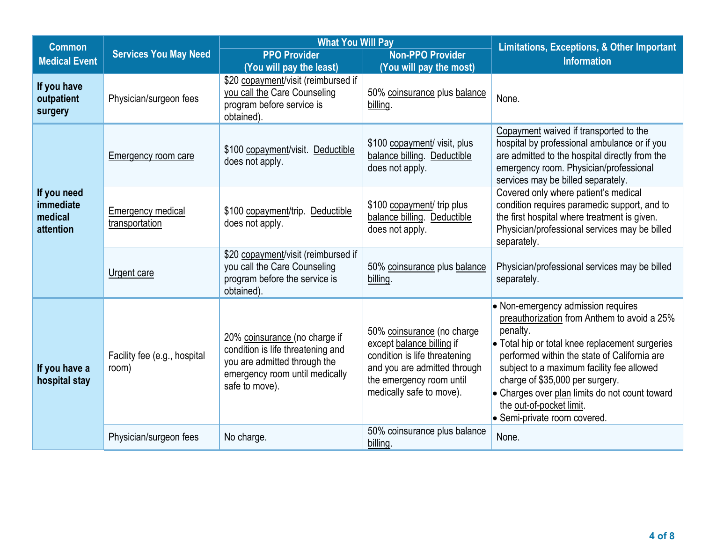| <b>Common</b>                                    | <b>What You Will Pay</b>              |                                                                                                                                                        | <b>Limitations, Exceptions, &amp; Other Important</b>                                                                                                                            |                                                                                                                                                                                                                                                                                                                                                                                                |
|--------------------------------------------------|---------------------------------------|--------------------------------------------------------------------------------------------------------------------------------------------------------|----------------------------------------------------------------------------------------------------------------------------------------------------------------------------------|------------------------------------------------------------------------------------------------------------------------------------------------------------------------------------------------------------------------------------------------------------------------------------------------------------------------------------------------------------------------------------------------|
| <b>Medical Event</b>                             | <b>Services You May Need</b>          | <b>PPO Provider</b>                                                                                                                                    | <b>Non-PPO Provider</b>                                                                                                                                                          | <b>Information</b>                                                                                                                                                                                                                                                                                                                                                                             |
| If you have<br>outpatient<br>surgery             | Physician/surgeon fees                | (You will pay the least)<br>\$20 copayment/visit (reimbursed if<br>you call the Care Counseling<br>program before service is<br>obtained).             | (You will pay the most)<br>50% coinsurance plus balance<br>billing                                                                                                               | None.                                                                                                                                                                                                                                                                                                                                                                                          |
| If you need<br>immediate<br>medical<br>attention | <b>Emergency room care</b>            | \$100 copayment/visit. Deductible<br>does not apply.                                                                                                   | \$100 copayment/ visit, plus<br>balance billing. Deductible<br>does not apply.                                                                                                   | Copayment waived if transported to the<br>hospital by professional ambulance or if you<br>are admitted to the hospital directly from the<br>emergency room. Physician/professional<br>services may be billed separately.                                                                                                                                                                       |
|                                                  | Emergency medical<br>transportation   | \$100 copayment/trip. Deductible<br>does not apply.                                                                                                    | \$100 copayment/ trip plus<br>balance billing. Deductible<br>does not apply.                                                                                                     | Covered only where patient's medical<br>condition requires paramedic support, and to<br>the first hospital where treatment is given.<br>Physician/professional services may be billed<br>separately.                                                                                                                                                                                           |
|                                                  | Urgent care                           | \$20 copayment/visit (reimbursed if<br>you call the Care Counseling<br>program before the service is<br>obtained).                                     | 50% coinsurance plus balance<br>billing.                                                                                                                                         | Physician/professional services may be billed<br>separately.                                                                                                                                                                                                                                                                                                                                   |
| If you have a<br>hospital stay                   | Facility fee (e.g., hospital<br>room) | 20% coinsurance (no charge if<br>condition is life threatening and<br>you are admitted through the<br>emergency room until medically<br>safe to move). | 50% coinsurance (no charge<br>except balance billing if<br>condition is life threatening<br>and you are admitted through<br>the emergency room until<br>medically safe to move). | • Non-emergency admission requires<br>preauthorization from Anthem to avoid a 25%<br>penalty.<br>• Total hip or total knee replacement surgeries<br>performed within the state of California are<br>subject to a maximum facility fee allowed<br>charge of \$35,000 per surgery.<br>• Charges over plan limits do not count toward<br>the out-of-pocket limit.<br>• Semi-private room covered. |
|                                                  | Physician/surgeon fees                | No charge.                                                                                                                                             | 50% coinsurance plus balance<br>billing.                                                                                                                                         | None.                                                                                                                                                                                                                                                                                                                                                                                          |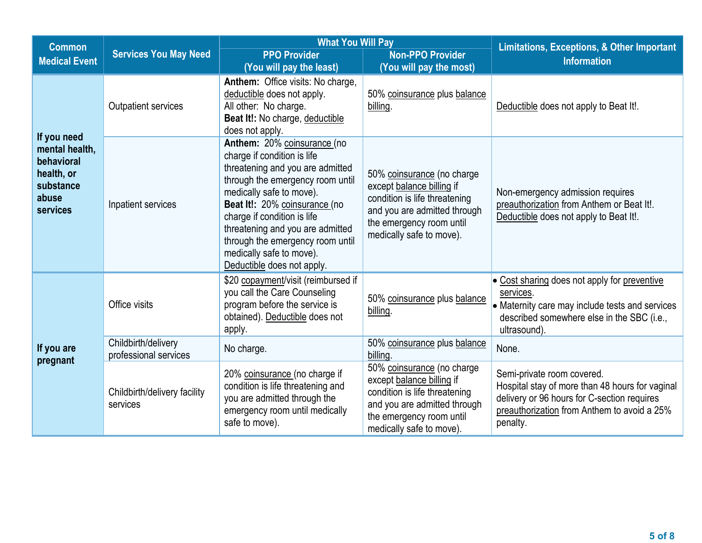| <b>Common</b>                                                                               |                                              | <b>What You Will Pay</b>                                                                                                                                                                                                                                                                                                                                         |                                                                                                                                                                                  | <b>Limitations, Exceptions, &amp; Other Important</b>                                                                                                                                   |
|---------------------------------------------------------------------------------------------|----------------------------------------------|------------------------------------------------------------------------------------------------------------------------------------------------------------------------------------------------------------------------------------------------------------------------------------------------------------------------------------------------------------------|----------------------------------------------------------------------------------------------------------------------------------------------------------------------------------|-----------------------------------------------------------------------------------------------------------------------------------------------------------------------------------------|
| <b>Medical Event</b>                                                                        | <b>Services You May Need</b>                 | <b>PPO Provider</b>                                                                                                                                                                                                                                                                                                                                              | <b>Non-PPO Provider</b>                                                                                                                                                          | <b>Information</b>                                                                                                                                                                      |
|                                                                                             |                                              | (You will pay the least)                                                                                                                                                                                                                                                                                                                                         | (You will pay the most)                                                                                                                                                          |                                                                                                                                                                                         |
|                                                                                             | Outpatient services                          | Anthem: Office visits: No charge,<br>deductible does not apply.<br>All other: No charge.<br>Beat It!: No charge, deductible<br>does not apply.                                                                                                                                                                                                                   | 50% coinsurance plus balance<br>billing.                                                                                                                                         | Deductible does not apply to Beat It!.                                                                                                                                                  |
| If you need<br>mental health,<br>behavioral<br>health, or<br>substance<br>abuse<br>services | Inpatient services                           | Anthem: 20% coinsurance (no<br>charge if condition is life<br>threatening and you are admitted<br>through the emergency room until<br>medically safe to move).<br>Beat It!: 20% coinsurance (no<br>charge if condition is life<br>threatening and you are admitted<br>through the emergency room until<br>medically safe to move).<br>Deductible does not apply. | 50% coinsurance (no charge<br>except balance billing if<br>condition is life threatening<br>and you are admitted through<br>the emergency room until<br>medically safe to move). | Non-emergency admission requires<br>preauthorization from Anthem or Beat It!.<br>Deductible does not apply to Beat It!.                                                                 |
|                                                                                             | Office visits                                | \$20 copayment/visit (reimbursed if<br>you call the Care Counseling<br>program before the service is<br>obtained). Deductible does not<br>apply.                                                                                                                                                                                                                 | 50% coinsurance plus balance<br>billing.                                                                                                                                         | • Cost sharing does not apply for preventive<br>services.<br>• Maternity care may include tests and services<br>described somewhere else in the SBC (i.e.,<br>ultrasound).              |
| If you are<br>pregnant                                                                      | Childbirth/delivery<br>professional services | No charge.                                                                                                                                                                                                                                                                                                                                                       | 50% coinsurance plus balance<br>billing.                                                                                                                                         | None.                                                                                                                                                                                   |
|                                                                                             | Childbirth/delivery facility<br>services     | 20% coinsurance (no charge if<br>condition is life threatening and<br>you are admitted through the<br>emergency room until medically<br>safe to move).                                                                                                                                                                                                           | 50% coinsurance (no charge<br>except balance billing if<br>condition is life threatening<br>and you are admitted through<br>the emergency room until<br>medically safe to move). | Semi-private room covered.<br>Hospital stay of more than 48 hours for vaginal<br>delivery or 96 hours for C-section requires<br>preauthorization from Anthem to avoid a 25%<br>penalty. |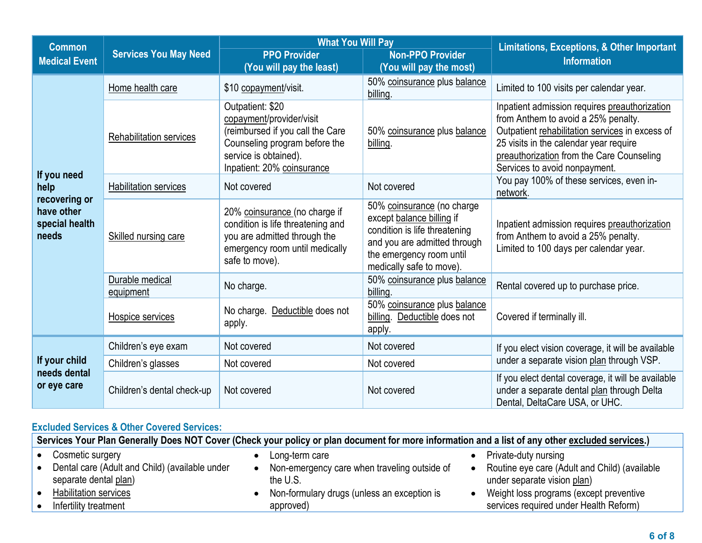| <b>Common</b>                                          |                                | <b>What You Will Pay</b>                                                                                                                                                 |                                                                                                                                                                                  | <b>Limitations, Exceptions, &amp; Other Important</b>                                                                                                                                                                                                           |  |
|--------------------------------------------------------|--------------------------------|--------------------------------------------------------------------------------------------------------------------------------------------------------------------------|----------------------------------------------------------------------------------------------------------------------------------------------------------------------------------|-----------------------------------------------------------------------------------------------------------------------------------------------------------------------------------------------------------------------------------------------------------------|--|
| <b>Medical Event</b>                                   | <b>Services You May Need</b>   | <b>PPO Provider</b><br>(You will pay the least)                                                                                                                          | <b>Non-PPO Provider</b><br>(You will pay the most)                                                                                                                               | <b>Information</b>                                                                                                                                                                                                                                              |  |
|                                                        | Home health care               | \$10 copayment/visit.                                                                                                                                                    | 50% coinsurance plus balance<br>billing.                                                                                                                                         | Limited to 100 visits per calendar year.                                                                                                                                                                                                                        |  |
|                                                        | <b>Rehabilitation services</b> | Outpatient: \$20<br>copayment/provider/visit<br>(reimbursed if you call the Care<br>Counseling program before the<br>service is obtained).<br>Inpatient: 20% coinsurance | 50% coinsurance plus balance<br>billing.                                                                                                                                         | Inpatient admission requires preauthorization<br>from Anthem to avoid a 25% penalty.<br>Outpatient rehabilitation services in excess of<br>25 visits in the calendar year require<br>preauthorization from the Care Counseling<br>Services to avoid nonpayment. |  |
| If you need<br>help                                    | <b>Habilitation services</b>   | Not covered                                                                                                                                                              | Not covered                                                                                                                                                                      | You pay 100% of these services, even in-<br>network.                                                                                                                                                                                                            |  |
| recovering or<br>have other<br>special health<br>needs | Skilled nursing care           | 20% coinsurance (no charge if<br>condition is life threatening and<br>you are admitted through the<br>emergency room until medically<br>safe to move).                   | 50% coinsurance (no charge<br>except balance billing if<br>condition is life threatening<br>and you are admitted through<br>the emergency room until<br>medically safe to move). | Inpatient admission requires preauthorization<br>from Anthem to avoid a 25% penalty.<br>Limited to 100 days per calendar year.                                                                                                                                  |  |
|                                                        | Durable medical<br>equipment   | No charge.                                                                                                                                                               | 50% coinsurance plus balance<br>billing.                                                                                                                                         | Rental covered up to purchase price.                                                                                                                                                                                                                            |  |
|                                                        | Hospice services               | No charge. Deductible does not<br>apply.                                                                                                                                 | 50% coinsurance plus balance<br>billing. Deductible does not<br>apply.                                                                                                           | Covered if terminally ill.                                                                                                                                                                                                                                      |  |
|                                                        | Children's eye exam            | Not covered                                                                                                                                                              | Not covered                                                                                                                                                                      | If you elect vision coverage, it will be available                                                                                                                                                                                                              |  |
| If your child                                          | Children's glasses             | Not covered                                                                                                                                                              | Not covered                                                                                                                                                                      | under a separate vision plan through VSP.                                                                                                                                                                                                                       |  |
| needs dental<br>or eye care                            | Children's dental check-up     | Not covered                                                                                                                                                              | Not covered                                                                                                                                                                      | If you elect dental coverage, it will be available<br>under a separate dental plan through Delta<br>Dental, DeltaCare USA, or UHC.                                                                                                                              |  |

# **Excluded Services & Other Covered Services:**

| Services Your Plan Generally Does NOT Cover (Check your policy or plan document for more information and a list of any other excluded services.) |                                                                                                                                          |  |  |
|--------------------------------------------------------------------------------------------------------------------------------------------------|------------------------------------------------------------------------------------------------------------------------------------------|--|--|
| Cosmetic surgery                                                                                                                                 | Private-duty nursing<br>Long-term care                                                                                                   |  |  |
| Dental care (Adult and Child) (available under<br>separate dental plan)                                                                          | Routine eye care (Adult and Child) (available<br>Non-emergency care when traveling outside of<br>under separate vision plan)<br>the U.S. |  |  |
| <b>Habilitation services</b>                                                                                                                     | Non-formulary drugs (unless an exception is<br>Weight loss programs (except preventive                                                   |  |  |
| Infertility treatment                                                                                                                            | services required under Health Reform)<br>approved)                                                                                      |  |  |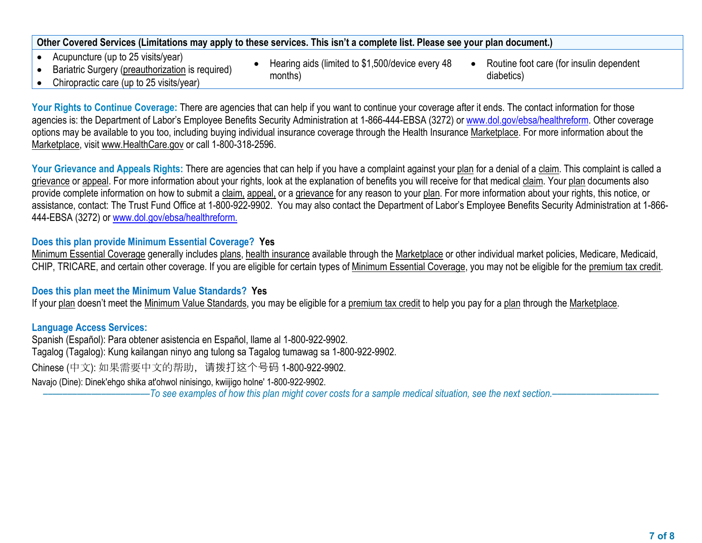# **Other Covered Services (Limitations may apply to these services. This isn't a complete list. Please see your plan document.)**

- Acupuncture (up to 25 visits/year)
- Bariatric Surgery (preauthorization is required)

Chiropractic care (up to 25 visits/year)

- Hearing aids (limited to \$1,500/device every 48 months)
- Routine foot care (for insulin dependent diabetics)

Your Rights to Continue Coverage: There are agencies that can help if you want to continue your coverage after it ends. The contact information for those agencies is: the Department of Labor's Employee Benefits Security Administration at 1-866-444-EBSA (3272) or www.dol.gov/ebsa/healthreform. Other coverage options may be available to you too, including buying individual insurance coverage through the Health Insurance Marketplace. For more information about the Marketplace, visit www.HealthCare.gov or call 1-800-318-2596.

Your Grievance and Appeals Rights: There are agencies that can help if you have a complaint against your plan for a denial of a claim. This complaint is called a grievance or appeal. For more information about your rights, look at the explanation of benefits you will receive for that medical claim. Your plan documents also provide complete information on how to submit a claim, appeal, or a grievance for any reason to your plan. For more information about your rights, this notice, or assistance, contact: The Trust Fund Office at 1-800-922-9902. You may also contact the Department of Labor's Employee Benefits Security Administration at 1-866- 444-EBSA (3272) or www.dol.gov/ebsa/healthreform.

# **Does this plan provide Minimum Essential Coverage? Yes**

Minimum Essential Coverage generally includes plans, health insurance available through the Marketplace or other individual market policies, Medicare, Medicaid, CHIP, TRICARE, and certain other coverage. If you are eligible for certain types of Minimum Essential Coverage, you may not be eligible for the premium tax credit.

#### **Does this plan meet the Minimum Value Standards? Yes**

If your plan doesn't meet the Minimum Value Standards, you may be eligible for a premium tax credit to help you pay for a plan through the Marketplace.

#### **Language Access Services:**

Spanish (Español): Para obtener asistencia en Español, llame al 1-800-922-9902. Tagalog (Tagalog): Kung kailangan ninyo ang tulong sa Tagalog tumawag sa 1-800-922-9902. Chinese (中文): 如果需要中文的帮助,请拨打这个号码 1-800-922-9902. Navajo (Dine): Dinek'ehgo shika at'ohwol ninisingo, kwiijigo holne' 1-800-922-9902. ––––––––––––––––––––––*To see examples of how this plan might cover costs for a sample medical situation, see the next section.–––––––––––*–––––––––––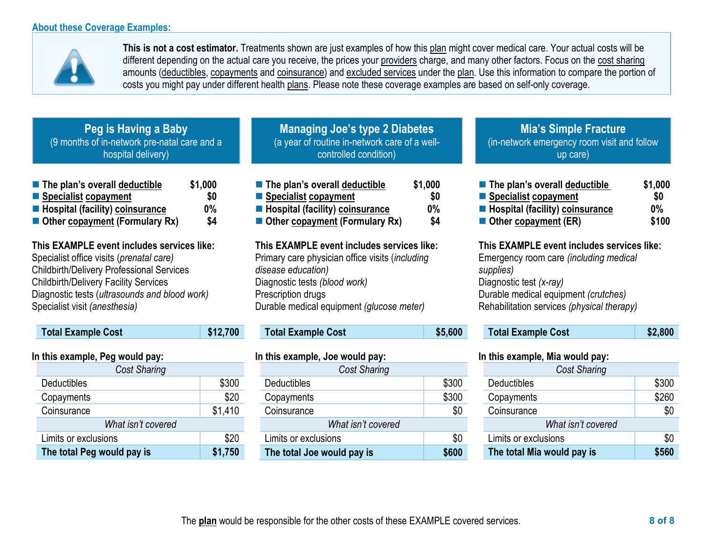#### **About these Coverage Examples:**



**This is not a cost estimator.** Treatments shown are just examples of how this plan might cover medical care. Your actual costs will be different depending on the actual care you receive, the prices your providers charge, and many other factors. Focus on the cost sharing amounts (deductibles, copayments and coinsurance) and excluded services under the plan. Use this information to compare the portion of costs you might pay under different health plans. Please note these coverage examples are based on self-only coverage.

| Peg is Having a Baby                         |
|----------------------------------------------|
| (9 months of in-network pre-natal care and a |
| hospital delivery)                           |

| $\blacksquare$ The plan's overall deductible | \$1,000 |
|----------------------------------------------|---------|
| ■ Specialist copayment                       | \$O     |
| <b>E</b> Hospital (facility) coinsurance     | 0%      |
| ■ Other copayment (Formulary Rx)             | \$4     |

**This EXAMPLE event includes services like:**  Specialist office visits (*prenatal care)* Childbirth/Delivery Professional Services Childbirth/Delivery Facility Services Diagnostic tests (*ultrasounds and blood work)*  Specialist visit *(anesthesia)* 

| <b>Total Example Cost</b>       | \$12,700 |
|---------------------------------|----------|
| In this example, Peg would pay: |          |
| <b>Cost Sharing</b>             |          |
| Deductibles                     | \$300    |
| Copayments                      | \$20     |
| Coinsurance                     | \$1,410  |
| What isn't covered              |          |
| Limits or exclusions            | \$20     |
| The total Peg would pay is      | \$1,750  |

**Managing Joe's type 2 Diabetes** (a year of routine in-network care of a wellcontrolled condition)

| \$0 |
|-----|
| 0%  |
| \$4 |
|     |

**This EXAMPLE event includes services like:**  Primary care physician office visits (*including disease education)* Diagnostic tests *(blood work)*  Prescription drugs Durable medical equipment *(glucose meter)* 

|                                 | <b>Total Example Cost</b> | \$5,600 |  |  |
|---------------------------------|---------------------------|---------|--|--|
| In this example, Joe would pay: |                           |         |  |  |
|                                 | <b>Cost Sharing</b>       |         |  |  |
|                                 | Deductibles               | \$300   |  |  |
|                                 | Copayments                | \$300   |  |  |
|                                 | Coinsurance               |         |  |  |

| The total Joe would pay is | \$600 |
|----------------------------|-------|
| Limits or exclusions       |       |
| What isn't covered         |       |
| Coinsurance                |       |

**Mia's Simple Fracture** (in-network emergency room visit and follow up care)

| ■ The plan's overall deductible | \$1,000 |  |
|---------------------------------|---------|--|
| ■ Specialist copayment          | \$O     |  |
| Hospital (facility) coinsurance | $0\%$   |  |
| Other copayment (ER)            | \$100   |  |

#### **This EXAMPLE event includes services like:**

Emergency room care *(including medical supplies)* Diagnostic test *(x-ray)* Durable medical equipment *(crutches)* Rehabilitation services *(physical therapy)* 

|  |  | <b>Total Example Cost</b> | \$2,800 |
|--|--|---------------------------|---------|
|--|--|---------------------------|---------|

# **In this example, Mia would pay:**

| <b>Cost Sharing</b> |  |  |
|---------------------|--|--|
| \$300               |  |  |
| \$260               |  |  |
| \$0                 |  |  |
| What isn't covered  |  |  |
| \$0                 |  |  |
| \$560               |  |  |
|                     |  |  |